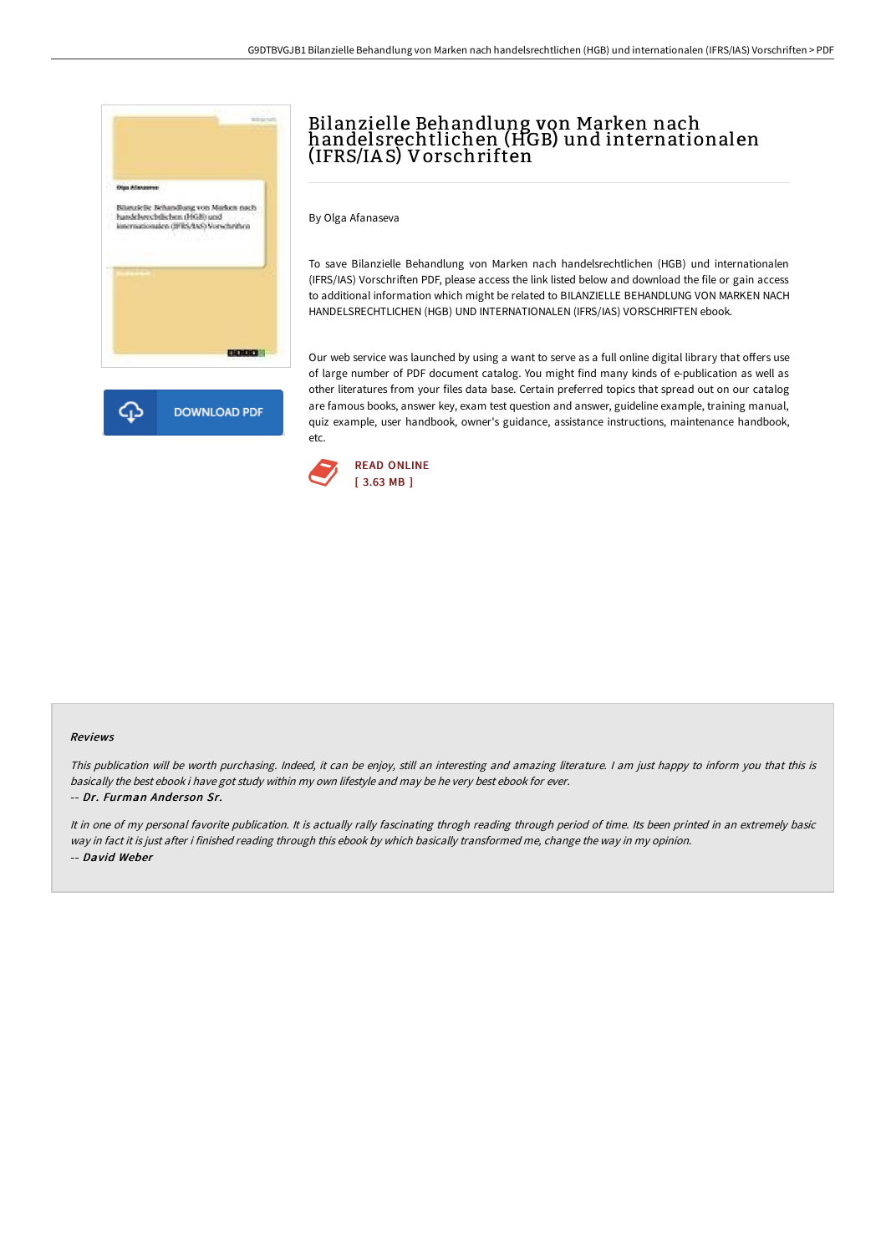

# Bilanzielle Behandlung von Marken nach handelsrechtlichen (HGB) und internationalen (IFRS/IA S) Vorschriften

By Olga Afanaseva

To save Bilanzielle Behandlung von Marken nach handelsrechtlichen (HGB) und internationalen (IFRS/IAS) Vorschriften PDF, please access the link listed below and download the file or gain access to additional information which might be related to BILANZIELLE BEHANDLUNG VON MARKEN NACH HANDELSRECHTLICHEN (HGB) UND INTERNATIONALEN (IFRS/IAS) VORSCHRIFTEN ebook.

Our web service was launched by using a want to serve as a full online digital library that offers use of large number of PDF document catalog. You might find many kinds of e-publication as well as other literatures from your files data base. Certain preferred topics that spread out on our catalog are famous books, answer key, exam test question and answer, guideline example, training manual, quiz example, user handbook, owner's guidance, assistance instructions, maintenance handbook, etc.



### Reviews

This publication will be worth purchasing. Indeed, it can be enjoy, still an interesting and amazing literature. <sup>I</sup> am just happy to inform you that this is basically the best ebook i have got study within my own lifestyle and may be he very best ebook for ever. -- Dr. Furman Ander son Sr.

It in one of my personal favorite publication. It is actually rally fascinating throgh reading through period of time. Its been printed in an extremely basic way in fact it is just after i finished reading through this ebook by which basically transformed me, change the way in my opinion. -- David Weber